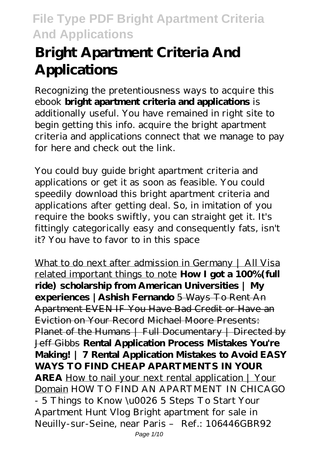# **Bright Apartment Criteria And Applications**

Recognizing the pretentiousness ways to acquire this ebook **bright apartment criteria and applications** is additionally useful. You have remained in right site to begin getting this info. acquire the bright apartment criteria and applications connect that we manage to pay for here and check out the link.

You could buy guide bright apartment criteria and applications or get it as soon as feasible. You could speedily download this bright apartment criteria and applications after getting deal. So, in imitation of you require the books swiftly, you can straight get it. It's fittingly categorically easy and consequently fats, isn't it? You have to favor to in this space

What to do next after admission in Germany | All Visa related important things to note **How I got a 100%(full ride) scholarship from American Universities | My experiences |Ashish Fernando** 5 Ways To Rent An Apartment EVEN IF You Have Bad Credit or Have an Eviction on Your Record Michael Moore Presents: Planet of the Humans | Full Documentary | Directed by Jeff Gibbs **Rental Application Process Mistakes You're Making! | 7 Rental Application Mistakes to Avoid EASY WAYS TO FIND CHEAP APARTMENTS IN YOUR AREA** How to nail your next rental application | Your Domain *HOW TO FIND AN APARTMENT IN CHICAGO - 5 Things to Know \u0026 5 Steps To Start Your Apartment Hunt Vlog Bright apartment for sale in Neuilly-sur-Seine, near Paris – Ref.: 106446GBR92* Page 1/10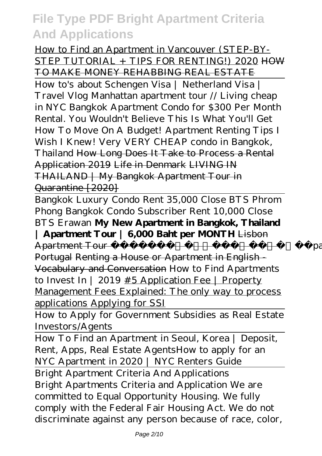How to Find an Apartment in Vancouver (STEP-BY-STEP TUTORIAL + TIPS FOR RENTING!) 2020 HOW TO MAKE MONEY REHABBING REAL ESTATE

How to's about Schengen Visa | Netherland Visa | Travel Vlog Manhattan apartment tour // Living cheap in NYC *Bangkok Apartment Condo for \$300 Per Month Rental. You Wouldn't Believe This Is What You'll Get* How To Move On A Budget! Apartment Renting Tips I Wish I Knew! Very VERY CHEAP condo in Bangkok, Thailand How Long Does It Take to Process a Rental Application 2019 Life in Denmark LIVING IN THAILAND | My Bangkok Apartment Tour in Quarantine [2020]

Bangkok Luxury Condo Rent 35,000 Close BTS Phrom Phong Bangkok Condo Subscriber Rent 10,000 Close BTS Erawan **My New Apartment in Bangkok, Thailand | Apartment Tour | 6,000 Baht per MONTH** Lisbon Apartment Tour Remote Year Apartment in Lisboa Portugal Renting a House or Apartment in English - Vocabulary and Conversation *How to Find Apartments to Invest In | 2019* #5 Application Fee | Property Management Fees Explained: The only way to process applications Applying for SSI

How to Apply for Government Subsidies as Real Estate Investors/Agents

How To Find an Apartment in Seoul, Korea | Deposit, Rent, Apps, Real Estate Agents*How to apply for an NYC Apartment in 2020 | NYC Renters Guide*

Bright Apartment Criteria And Applications Bright Apartments Criteria and Application We are committed to Equal Opportunity Housing. We fully comply with the Federal Fair Housing Act. We do not discriminate against any person because of race, color,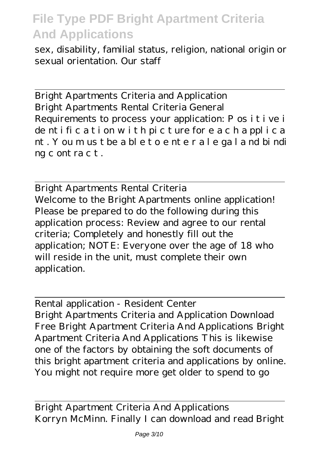sex, disability, familial status, religion, national origin or sexual orientation. Our staff

Bright Apartments Criteria and Application Bright Apartments Rental Criteria General Requirements to process your application: P os i t i ve i de nt i fi c a t i on w i t h pi c t ure for e a c h a ppl i c a nt . Y ou m us t be a bl e t o e nt e r a l e ga l a nd bi ndi ng c ont ra c t .

Bright Apartments Rental Criteria Welcome to the Bright Apartments online application! Please be prepared to do the following during this application process: Review and agree to our rental criteria; Completely and honestly fill out the application; NOTE: Everyone over the age of 18 who will reside in the unit, must complete their own application.

Rental application - Resident Center

Bright Apartments Criteria and Application Download Free Bright Apartment Criteria And Applications Bright Apartment Criteria And Applications This is likewise one of the factors by obtaining the soft documents of this bright apartment criteria and applications by online. You might not require more get older to spend to go

Bright Apartment Criteria And Applications Korryn McMinn. Finally I can download and read Bright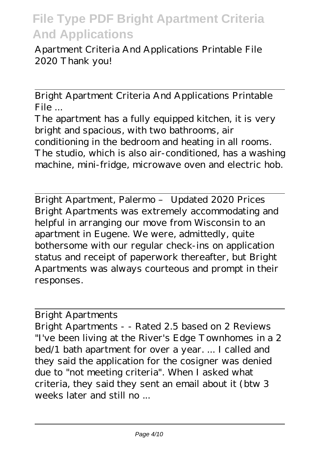Apartment Criteria And Applications Printable File 2020 Thank you!

Bright Apartment Criteria And Applications Printable File ...

The apartment has a fully equipped kitchen, it is very bright and spacious, with two bathrooms, air conditioning in the bedroom and heating in all rooms. The studio, which is also air-conditioned, has a washing machine, mini-fridge, microwave oven and electric hob.

Bright Apartment, Palermo – Updated 2020 Prices Bright Apartments was extremely accommodating and helpful in arranging our move from Wisconsin to an apartment in Eugene. We were, admittedly, quite bothersome with our regular check-ins on application status and receipt of paperwork thereafter, but Bright Apartments was always courteous and prompt in their responses.

#### Bright Apartments

Bright Apartments - - Rated 2.5 based on 2 Reviews "I've been living at the River's Edge Townhomes in a 2 bed/1 bath apartment for over a year. ... I called and they said the application for the cosigner was denied due to "not meeting criteria". When I asked what criteria, they said they sent an email about it (btw 3 weeks later and still no ...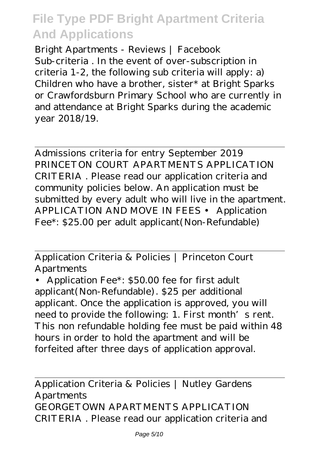Bright Apartments - Reviews | Facebook Sub-criteria . In the event of over-subscription in criteria 1-2, the following sub criteria will apply: a) Children who have a brother, sister\* at Bright Sparks or Crawfordsburn Primary School who are currently in and attendance at Bright Sparks during the academic year 2018/19.

Admissions criteria for entry September 2019 PRINCETON COURT APARTMENTS APPLICATION CRITERIA . Please read our application criteria and community policies below. An application must be submitted by every adult who will live in the apartment. APPLICATION AND MOVE IN FEES • Application Fee\*: \$25.00 per adult applicant(Non-Refundable)

Application Criteria & Policies | Princeton Court Apartments

• Application Fee\*: \$50.00 fee for first adult applicant(Non-Refundable). \$25 per additional applicant. Once the application is approved, you will need to provide the following: 1. First month's rent. This non refundable holding fee must be paid within 48 hours in order to hold the apartment and will be forfeited after three days of application approval.

Application Criteria & Policies | Nutley Gardens **Apartments** GEORGETOWN APARTMENTS APPLICATION CRITERIA . Please read our application criteria and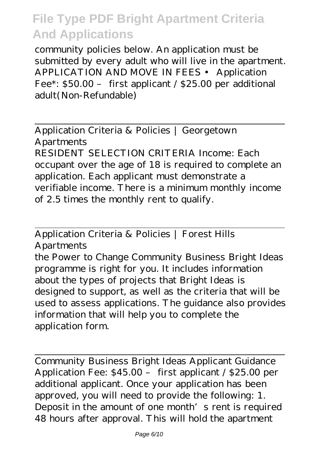community policies below. An application must be submitted by every adult who will live in the apartment. APPLICATION AND MOVE IN FEES • Application Fee\*: \$50.00 – first applicant / \$25.00 per additional adult(Non-Refundable)

Application Criteria & Policies | Georgetown Apartments RESIDENT SELECTION CRITERIA Income: Each occupant over the age of 18 is required to complete an application. Each applicant must demonstrate a verifiable income. There is a minimum monthly income of 2.5 times the monthly rent to qualify.

Application Criteria & Policies | Forest Hills Apartments

the Power to Change Community Business Bright Ideas programme is right for you. It includes information about the types of projects that Bright Ideas is designed to support, as well as the criteria that will be used to assess applications. The guidance also provides information that will help you to complete the application form.

Community Business Bright Ideas Applicant Guidance Application Fee: \$45.00 – first applicant / \$25.00 per additional applicant. Once your application has been approved, you will need to provide the following: 1. Deposit in the amount of one month's rent is required 48 hours after approval. This will hold the apartment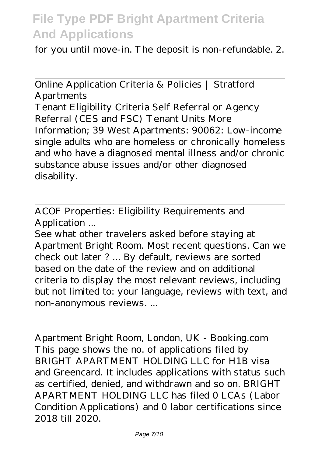for you until move-in. The deposit is non-refundable. 2.

Online Application Criteria & Policies | Stratford Apartments Tenant Eligibility Criteria Self Referral or Agency Referral (CES and FSC) Tenant Units More Information; 39 West Apartments: 90062: Low-income single adults who are homeless or chronically homeless and who have a diagnosed mental illness and/or chronic substance abuse issues and/or other diagnosed disability.

ACOF Properties: Eligibility Requirements and Application ...

See what other travelers asked before staying at Apartment Bright Room. Most recent questions. Can we check out later ? ... By default, reviews are sorted based on the date of the review and on additional criteria to display the most relevant reviews, including but not limited to: your language, reviews with text, and non-anonymous reviews. ...

Apartment Bright Room, London, UK - Booking.com This page shows the no. of applications filed by BRIGHT APARTMENT HOLDING LLC for H1B visa and Greencard. It includes applications with status such as certified, denied, and withdrawn and so on. BRIGHT APARTMENT HOLDING LLC has filed 0 LCAs (Labor Condition Applications) and 0 labor certifications since 2018 till 2020.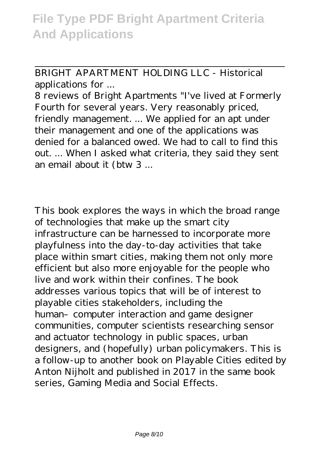BRIGHT APARTMENT HOLDING LLC - Historical applications for ...

8 reviews of Bright Apartments "I've lived at Formerly Fourth for several years. Very reasonably priced, friendly management. ... We applied for an apt under their management and one of the applications was denied for a balanced owed. We had to call to find this out. ... When I asked what criteria, they said they sent an email about it (btw 3 ...

This book explores the ways in which the broad range of technologies that make up the smart city infrastructure can be harnessed to incorporate more playfulness into the day-to-day activities that take place within smart cities, making them not only more efficient but also more enjoyable for the people who live and work within their confines. The book addresses various topics that will be of interest to playable cities stakeholders, including the human- computer interaction and game designer communities, computer scientists researching sensor and actuator technology in public spaces, urban designers, and (hopefully) urban policymakers. This is a follow-up to another book on Playable Cities edited by Anton Nijholt and published in 2017 in the same book series, Gaming Media and Social Effects.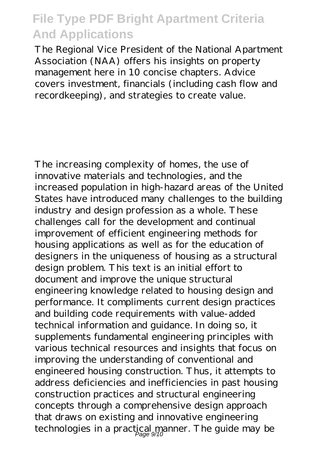The Regional Vice President of the National Apartment Association (NAA) offers his insights on property management here in 10 concise chapters. Advice covers investment, financials (including cash flow and recordkeeping), and strategies to create value.

The increasing complexity of homes, the use of innovative materials and technologies, and the increased population in high-hazard areas of the United States have introduced many challenges to the building industry and design profession as a whole. These challenges call for the development and continual improvement of efficient engineering methods for housing applications as well as for the education of designers in the uniqueness of housing as a structural design problem. This text is an initial effort to document and improve the unique structural engineering knowledge related to housing design and performance. It compliments current design practices and building code requirements with value-added technical information and guidance. In doing so, it supplements fundamental engineering principles with various technical resources and insights that focus on improving the understanding of conventional and engineered housing construction. Thus, it attempts to address deficiencies and inefficiencies in past housing construction practices and structural engineering concepts through a comprehensive design approach that draws on existing and innovative engineering technologies in a practical manner. The guide may be